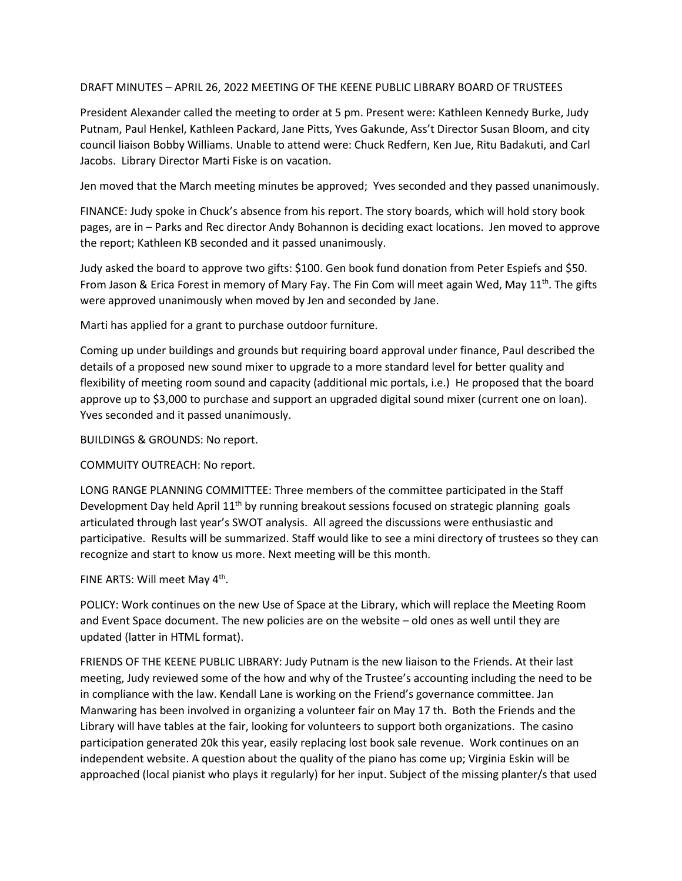## DRAFT MINUTES – APRIL 26, 2022 MEETING OF THE KEENE PUBLIC LIBRARY BOARD OF TRUSTEES

President Alexander called the meeting to order at 5 pm. Present were: Kathleen Kennedy Burke, Judy Putnam, Paul Henkel, Kathleen Packard, Jane Pitts, Yves Gakunde, Ass't Director Susan Bloom, and city council liaison Bobby Williams. Unable to attend were: Chuck Redfern, Ken Jue, Ritu Badakuti, and Carl Jacobs. Library Director Marti Fiske is on vacation.

Jen moved that the March meeting minutes be approved; Yves seconded and they passed unanimously.

FINANCE: Judy spoke in Chuck's absence from his report. The story boards, which will hold story book pages, are in – Parks and Rec director Andy Bohannon is deciding exact locations. Jen moved to approve the report; Kathleen KB seconded and it passed unanimously.

Judy asked the board to approve two gifts: \$100. Gen book fund donation from Peter Espiefs and \$50. From Jason & Erica Forest in memory of Mary Fay. The Fin Com will meet again Wed, May 11<sup>th</sup>. The gifts were approved unanimously when moved by Jen and seconded by Jane.

Marti has applied for a grant to purchase outdoor furniture.

Coming up under buildings and grounds but requiring board approval under finance, Paul described the details of a proposed new sound mixer to upgrade to a more standard level for better quality and flexibility of meeting room sound and capacity (additional mic portals, i.e.) He proposed that the board approve up to \$3,000 to purchase and support an upgraded digital sound mixer (current one on loan). Yves seconded and it passed unanimously.

BUILDINGS & GROUNDS: No report.

COMMUITY OUTREACH: No report.

LONG RANGE PLANNING COMMITTEE: Three members of the committee participated in the Staff Development Day held April  $11<sup>th</sup>$  by running breakout sessions focused on strategic planning goals articulated through last year's SWOT analysis. All agreed the discussions were enthusiastic and participative. Results will be summarized. Staff would like to see a mini directory of trustees so they can recognize and start to know us more. Next meeting will be this month.

FINE ARTS: Will meet May 4<sup>th</sup>.

POLICY: Work continues on the new Use of Space at the Library, which will replace the Meeting Room and Event Space document. The new policies are on the website – old ones as well until they are updated (latter in HTML format).

FRIENDS OF THE KEENE PUBLIC LIBRARY: Judy Putnam is the new liaison to the Friends. At their last meeting, Judy reviewed some of the how and why of the Trustee's accounting including the need to be in compliance with the law. Kendall Lane is working on the Friend's governance committee. Jan Manwaring has been involved in organizing a volunteer fair on May 17 th. Both the Friends and the Library will have tables at the fair, looking for volunteers to support both organizations. The casino participation generated 20k this year, easily replacing lost book sale revenue. Work continues on an independent website. A question about the quality of the piano has come up; Virginia Eskin will be approached (local pianist who plays it regularly) for her input. Subject of the missing planter/s that used